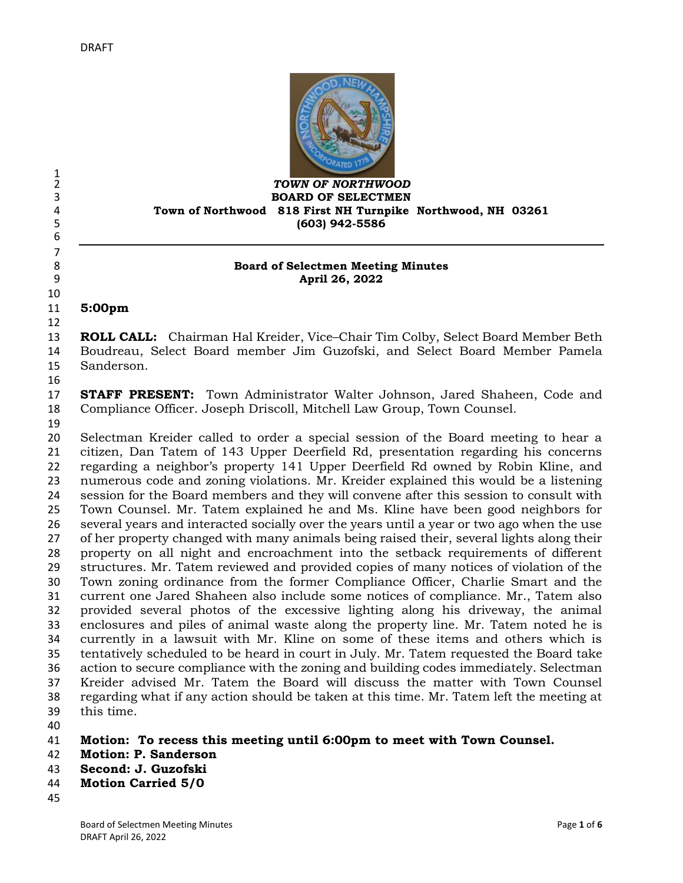

#### *TOWN OF NORTHWOOD* **BOARD OF SELECTMEN Town of Northwood 818 First NH Turnpike Northwood, NH 03261 (603) 942-5586**

#### **Board of Selectmen Meeting Minutes April 26, 2022**

**5:00pm** 

 **ROLL CALL:** Chairman Hal Kreider, Vice–Chair Tim Colby, Select Board Member Beth Boudreau, Select Board member Jim Guzofski, and Select Board Member Pamela Sanderson.

 **STAFF PRESENT:** Town Administrator Walter Johnson, Jared Shaheen, Code and Compliance Officer. Joseph Driscoll, Mitchell Law Group, Town Counsel.

 $\frac{1}{2}$ 

 

 Selectman Kreider called to order a special session of the Board meeting to hear a citizen, Dan Tatem of 143 Upper Deerfield Rd, presentation regarding his concerns regarding a neighbor's property 141 Upper Deerfield Rd owned by Robin Kline, and numerous code and zoning violations. Mr. Kreider explained this would be a listening session for the Board members and they will convene after this session to consult with Town Counsel. Mr. Tatem explained he and Ms. Kline have been good neighbors for several years and interacted socially over the years until a year or two ago when the use of her property changed with many animals being raised their, several lights along their property on all night and encroachment into the setback requirements of different structures. Mr. Tatem reviewed and provided copies of many notices of violation of the Town zoning ordinance from the former Compliance Officer, Charlie Smart and the current one Jared Shaheen also include some notices of compliance. Mr., Tatem also provided several photos of the excessive lighting along his driveway, the animal enclosures and piles of animal waste along the property line. Mr. Tatem noted he is currently in a lawsuit with Mr. Kline on some of these items and others which is tentatively scheduled to be heard in court in July. Mr. Tatem requested the Board take action to secure compliance with the zoning and building codes immediately. Selectman Kreider advised Mr. Tatem the Board will discuss the matter with Town Counsel regarding what if any action should be taken at this time. Mr. Tatem left the meeting at this time. 

**Motion: To recess this meeting until 6:00pm to meet with Town Counsel.**

- **Motion: P. Sanderson**
- **Second: J. Guzofski**
- **Motion Carried 5/0**
-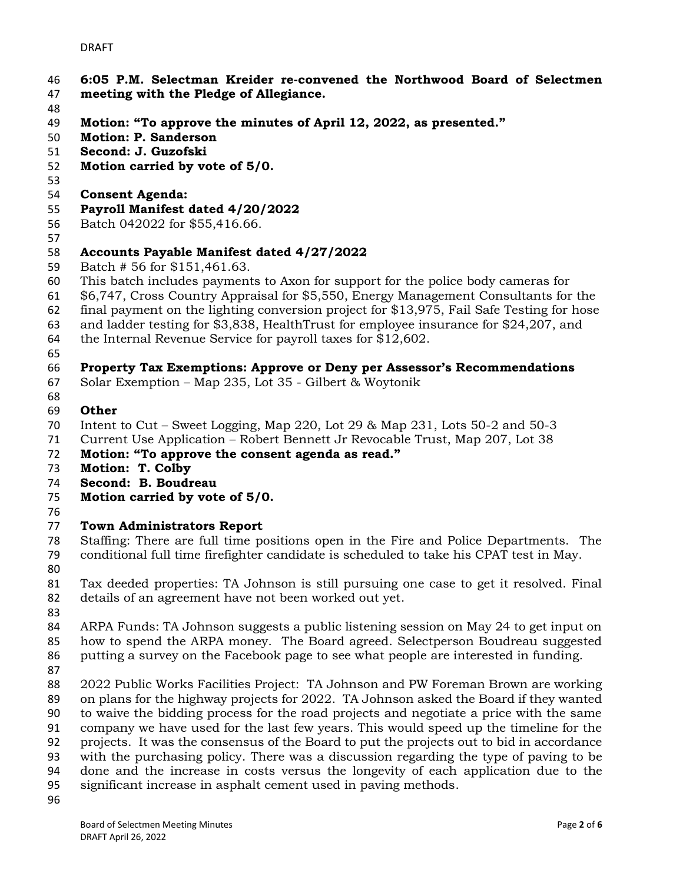- **6:05 P.M. Selectman Kreider re-convened the Northwood Board of Selectmen**
- **meeting with the Pledge of Allegiance.**
- 
- **Motion: "To approve the minutes of April 12, 2022, as presented."**
- **Motion: P. Sanderson**
- **Second: J. Guzofski**
- **Motion carried by vote of 5/0.**
- 
- **Consent Agenda:**
- **Payroll Manifest dated 4/20/2022**
- Batch 042022 for \$55,416.66.
- 

#### **Accounts Payable Manifest dated 4/27/2022**

- Batch # 56 for \$151,461.63.
- This batch includes payments to Axon for support for the police body cameras for
- \$6,747, Cross Country Appraisal for \$5,550, Energy Management Consultants for the
- final payment on the lighting conversion project for \$13,975, Fail Safe Testing for hose
- and ladder testing for \$3,838, HealthTrust for employee insurance for \$24,207, and
- the Internal Revenue Service for payroll taxes for \$12,602.
- 

## **Property Tax Exemptions: Approve or Deny per Assessor's Recommendations**

- Solar Exemption Map 235, Lot 35 Gilbert & Woytonik
- 

## **Other**

- Intent to Cut Sweet Logging, Map 220, Lot 29 & Map 231, Lots 50-2 and 50-3
- Current Use Application Robert Bennett Jr Revocable Trust, Map 207, Lot 38
- **Motion: "To approve the consent agenda as read."**
- **Motion: T. Colby**
- **Second: B. Boudreau**
- **Motion carried by vote of 5/0.**
- 

## **Town Administrators Report**

- Staffing: There are full time positions open in the Fire and Police Departments. The conditional full time firefighter candidate is scheduled to take his CPAT test in May.
- 

 Tax deeded properties: TA Johnson is still pursuing one case to get it resolved. Final details of an agreement have not been worked out yet.

- 
- ARPA Funds: TA Johnson suggests a public listening session on May 24 to get input on how to spend the ARPA money. The Board agreed. Selectperson Boudreau suggested putting a survey on the Facebook page to see what people are interested in funding.
- 
- 2022 Public Works Facilities Project: TA Johnson and PW Foreman Brown are working on plans for the highway projects for 2022. TA Johnson asked the Board if they wanted to waive the bidding process for the road projects and negotiate a price with the same company we have used for the last few years. This would speed up the timeline for the projects. It was the consensus of the Board to put the projects out to bid in accordance with the purchasing policy. There was a discussion regarding the type of paving to be done and the increase in costs versus the longevity of each application due to the significant increase in asphalt cement used in paving methods.
-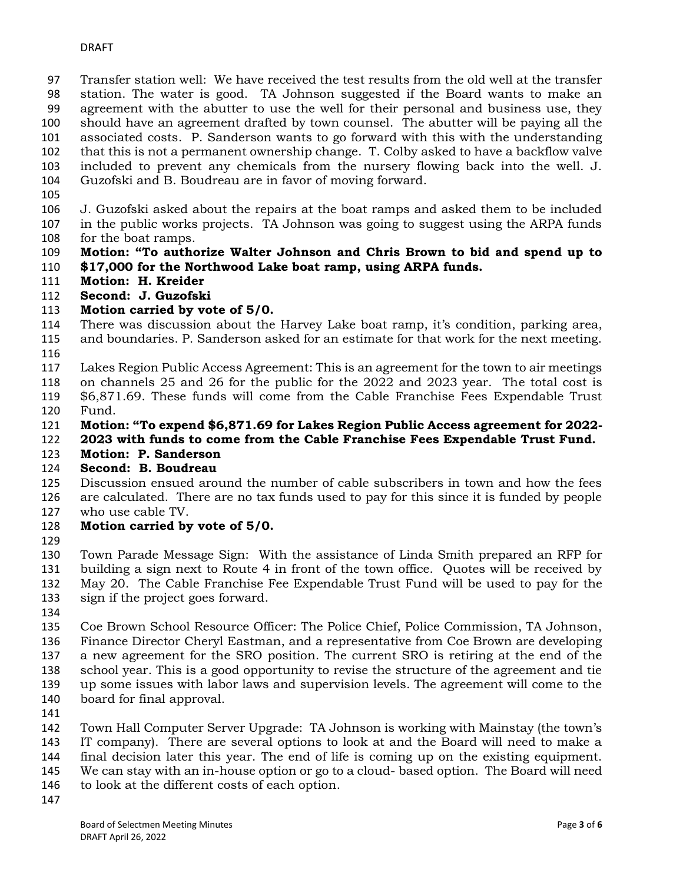Transfer station well: We have received the test results from the old well at the transfer station. The water is good. TA Johnson suggested if the Board wants to make an agreement with the abutter to use the well for their personal and business use, they should have an agreement drafted by town counsel. The abutter will be paying all the associated costs. P. Sanderson wants to go forward with this with the understanding that this is not a permanent ownership change. T. Colby asked to have a backflow valve included to prevent any chemicals from the nursery flowing back into the well. J. Guzofski and B. Boudreau are in favor of moving forward.

- 
- J. Guzofski asked about the repairs at the boat ramps and asked them to be included in the public works projects. TA Johnson was going to suggest using the ARPA funds for the boat ramps.
- **Motion: "To authorize Walter Johnson and Chris Brown to bid and spend up to \$17,000 for the Northwood Lake boat ramp, using ARPA funds.**
- **Motion: H. Kreider**
- **Second: J. Guzofski**
- **Motion carried by vote of 5/0.**
- There was discussion about the Harvey Lake boat ramp, it's condition, parking area, and boundaries. P. Sanderson asked for an estimate for that work for the next meeting.
- 
- Lakes Region Public Access Agreement: This is an agreement for the town to air meetings
- on channels 25 and 26 for the public for the 2022 and 2023 year. The total cost is \$6,871.69. These funds will come from the Cable Franchise Fees Expendable Trust Fund.
- **Motion: "To expend \$6,871.69 for Lakes Region Public Access agreement for 2022-**
- **2023 with funds to come from the Cable Franchise Fees Expendable Trust Fund.**
- **Motion: P. Sanderson**
- **Second: B. Boudreau**
- Discussion ensued around the number of cable subscribers in town and how the fees are calculated. There are no tax funds used to pay for this since it is funded by people who use cable TV.
- **Motion carried by vote of 5/0.**
- 

 Town Parade Message Sign: With the assistance of Linda Smith prepared an RFP for building a sign next to Route 4 in front of the town office. Quotes will be received by May 20. The Cable Franchise Fee Expendable Trust Fund will be used to pay for the sign if the project goes forward.

 Coe Brown School Resource Officer: The Police Chief, Police Commission, TA Johnson, Finance Director Cheryl Eastman, and a representative from Coe Brown are developing a new agreement for the SRO position. The current SRO is retiring at the end of the school year. This is a good opportunity to revise the structure of the agreement and tie up some issues with labor laws and supervision levels. The agreement will come to the board for final approval.

 Town Hall Computer Server Upgrade: TA Johnson is working with Mainstay (the town's IT company). There are several options to look at and the Board will need to make a final decision later this year. The end of life is coming up on the existing equipment. We can stay with an in-house option or go to a cloud- based option. The Board will need to look at the different costs of each option.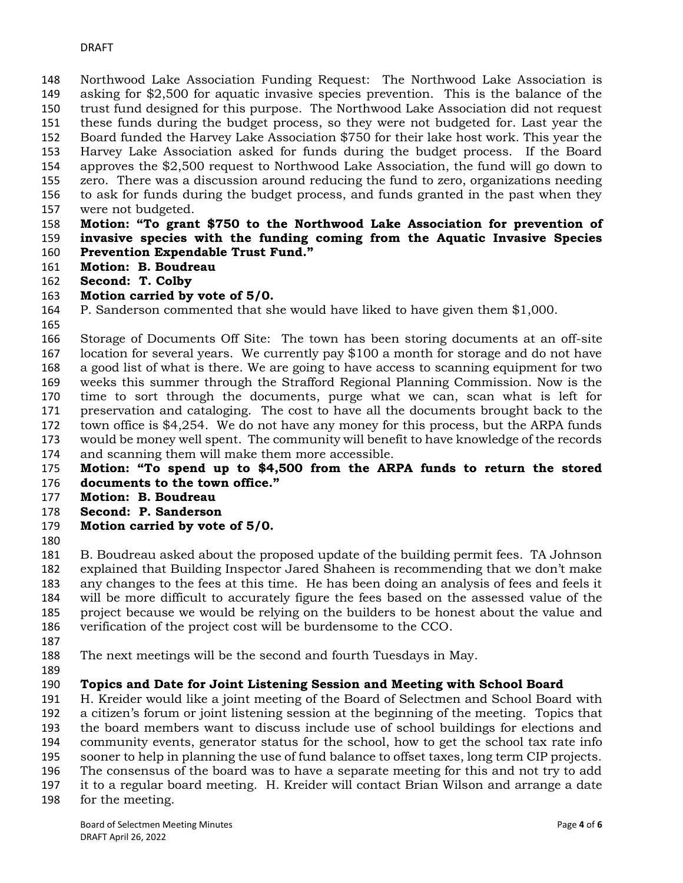Northwood Lake Association Funding Request: The Northwood Lake Association is asking for \$2,500 for aquatic invasive species prevention. This is the balance of the trust fund designed for this purpose. The Northwood Lake Association did not request these funds during the budget process, so they were not budgeted for. Last year the Board funded the Harvey Lake Association \$750 for their lake host work. This year the Harvey Lake Association asked for funds during the budget process. If the Board approves the \$2,500 request to Northwood Lake Association, the fund will go down to zero. There was a discussion around reducing the fund to zero, organizations needing to ask for funds during the budget process, and funds granted in the past when they were not budgeted.

#### **Motion: "To grant \$750 to the Northwood Lake Association for prevention of invasive species with the funding coming from the Aquatic Invasive Species Prevention Expendable Trust Fund."**

- **Motion: B. Boudreau**
- **Second: T. Colby**

#### **Motion carried by vote of 5/0.**

- P. Sanderson commented that she would have liked to have given them \$1,000.
- 

 Storage of Documents Off Site: The town has been storing documents at an off-site location for several years. We currently pay \$100 a month for storage and do not have a good list of what is there. We are going to have access to scanning equipment for two weeks this summer through the Strafford Regional Planning Commission. Now is the time to sort through the documents, purge what we can, scan what is left for preservation and cataloging. The cost to have all the documents brought back to the town office is \$4,254. We do not have any money for this process, but the ARPA funds would be money well spent. The community will benefit to have knowledge of the records and scanning them will make them more accessible.

- **Motion: "To spend up to \$4,500 from the ARPA funds to return the stored documents to the town office."**
- **Motion: B. Boudreau**
- **Second: P. Sanderson**
- **Motion carried by vote of 5/0.**
- 

 B. Boudreau asked about the proposed update of the building permit fees. TA Johnson explained that Building Inspector Jared Shaheen is recommending that we don't make any changes to the fees at this time. He has been doing an analysis of fees and feels it will be more difficult to accurately figure the fees based on the assessed value of the project because we would be relying on the builders to be honest about the value and verification of the project cost will be burdensome to the CCO.

- 
- The next meetings will be the second and fourth Tuesdays in May.
- 

## **Topics and Date for Joint Listening Session and Meeting with School Board**

 H. Kreider would like a joint meeting of the Board of Selectmen and School Board with a citizen's forum or joint listening session at the beginning of the meeting. Topics that

the board members want to discuss include use of school buildings for elections and

community events, generator status for the school, how to get the school tax rate info

sooner to help in planning the use of fund balance to offset taxes, long term CIP projects.

- The consensus of the board was to have a separate meeting for this and not try to add it to a regular board meeting. H. Kreider will contact Brian Wilson and arrange a date
- for the meeting.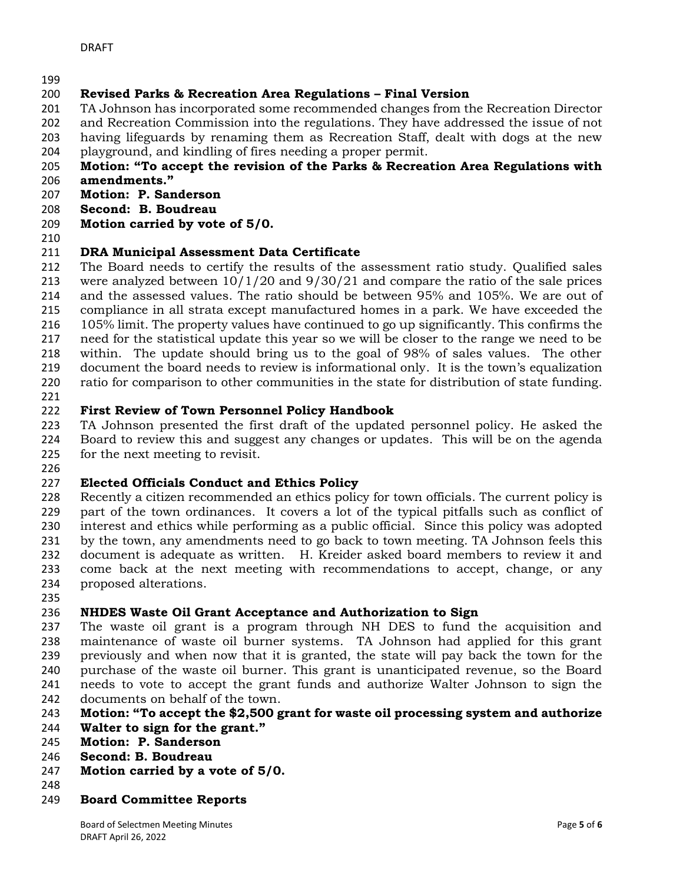# **Revised Parks & Recreation Area Regulations – Final Version**

- TA Johnson has incorporated some recommended changes from the Recreation Director
- and Recreation Commission into the regulations. They have addressed the issue of not
- having lifeguards by renaming them as Recreation Staff, dealt with dogs at the new
- playground, and kindling of fires needing a proper permit.

# **Motion: "To accept the revision of the Parks & Recreation Area Regulations with**

- **amendments."**
- **Motion: P. Sanderson**
- **Second: B. Boudreau**
- **Motion carried by vote of 5/0.**
- 

# **DRA Municipal Assessment Data Certificate**

 The Board needs to certify the results of the assessment ratio study. Qualified sales were analyzed between 10/1/20 and 9/30/21 and compare the ratio of the sale prices and the assessed values. The ratio should be between 95% and 105%. We are out of compliance in all strata except manufactured homes in a park. We have exceeded the 105% limit. The property values have continued to go up significantly. This confirms the need for the statistical update this year so we will be closer to the range we need to be within. The update should bring us to the goal of 98% of sales values. The other document the board needs to review is informational only. It is the town's equalization ratio for comparison to other communities in the state for distribution of state funding.

# **First Review of Town Personnel Policy Handbook**

 TA Johnson presented the first draft of the updated personnel policy. He asked the Board to review this and suggest any changes or updates. This will be on the agenda for the next meeting to revisit.

# **Elected Officials Conduct and Ethics Policy**

 Recently a citizen recommended an ethics policy for town officials. The current policy is part of the town ordinances. It covers a lot of the typical pitfalls such as conflict of interest and ethics while performing as a public official. Since this policy was adopted by the town, any amendments need to go back to town meeting. TA Johnson feels this document is adequate as written. H. Kreider asked board members to review it and come back at the next meeting with recommendations to accept, change, or any proposed alterations.

# **NHDES Waste Oil Grant Acceptance and Authorization to Sign**

 The waste oil grant is a program through NH DES to fund the acquisition and maintenance of waste oil burner systems. TA Johnson had applied for this grant previously and when now that it is granted, the state will pay back the town for the purchase of the waste oil burner. This grant is unanticipated revenue, so the Board needs to vote to accept the grant funds and authorize Walter Johnson to sign the documents on behalf of the town.

## **Motion: "To accept the \$2,500 grant for waste oil processing system and authorize**

- **Walter to sign for the grant."**
- **Motion: P. Sanderson**
- **Second: B. Boudreau**
- **Motion carried by a vote of 5/0.**
- 
- **Board Committee Reports**